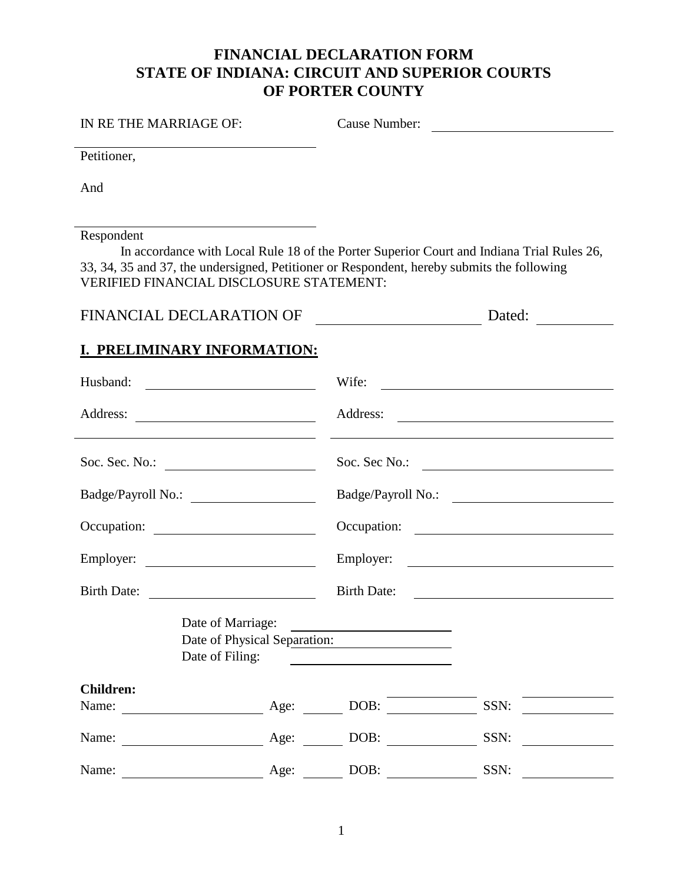# **FINANCIAL DECLARATION FORM STATE OF INDIANA: CIRCUIT AND SUPERIOR COURTS OF PORTER COUNTY**

# IN RE THE MARRIAGE OF: Cause Number:

Petitioner,

And

Respondent

In accordance with Local Rule 18 of the Porter Superior Court and Indiana Trial Rules 26, 33, 34, 35 and 37, the undersigned, Petitioner or Respondent, hereby submits the following VERIFIED FINANCIAL DISCLOSURE STATEMENT:

| FINANCIAL DECLARATION OF | Dated: |
|--------------------------|--------|
|--------------------------|--------|

### **I. PRELIMINARY INFORMATION:**

| Husband:                                                               |                                                                                                                                                                                                                                      | Wife:                                                                                                                                           |                                                      |
|------------------------------------------------------------------------|--------------------------------------------------------------------------------------------------------------------------------------------------------------------------------------------------------------------------------------|-------------------------------------------------------------------------------------------------------------------------------------------------|------------------------------------------------------|
| Address:<br><u> 1989 - Johann Stoff, amerikansk politiker (* 1908)</u> |                                                                                                                                                                                                                                      |                                                                                                                                                 |                                                      |
| Soc. Sec. No.: $\qquad \qquad$                                         |                                                                                                                                                                                                                                      |                                                                                                                                                 | Soc. Sec No.:                                        |
| Badge/Payroll No.:                                                     |                                                                                                                                                                                                                                      |                                                                                                                                                 | Badge/Payroll No.:                                   |
| Occupation:                                                            |                                                                                                                                                                                                                                      |                                                                                                                                                 | Occupation:                                          |
| Employer:                                                              |                                                                                                                                                                                                                                      |                                                                                                                                                 | Employer:                                            |
| Birth Date:                                                            | <u>and the state of the state of the state of the state of the state of the state of the state of the state of the state of the state of the state of the state of the state of the state of the state of the state of the state</u> | <b>Birth Date:</b>                                                                                                                              | <u> 1989 - Andrea Stadt Britain, marwolaeth a bh</u> |
| Date of Filing:                                                        | Date of Marriage:                                                                                                                                                                                                                    | <u> 1989 - John Stein, Amerikaansk politiker (</u><br>Date of Physical Separation:<br><u> 1980 - Andrea Station Books, amerikansk politik (</u> |                                                      |
| <b>Children:</b>                                                       |                                                                                                                                                                                                                                      |                                                                                                                                                 |                                                      |
| Name:                                                                  | Age:                                                                                                                                                                                                                                 | DOB:                                                                                                                                            | SSN:                                                 |
| Name:<br><b>Age:</b> <u>Age:</u>                                       |                                                                                                                                                                                                                                      | DOB:                                                                                                                                            | SSN:                                                 |
| Name:                                                                  | Age:                                                                                                                                                                                                                                 | DOB:                                                                                                                                            | SSN:                                                 |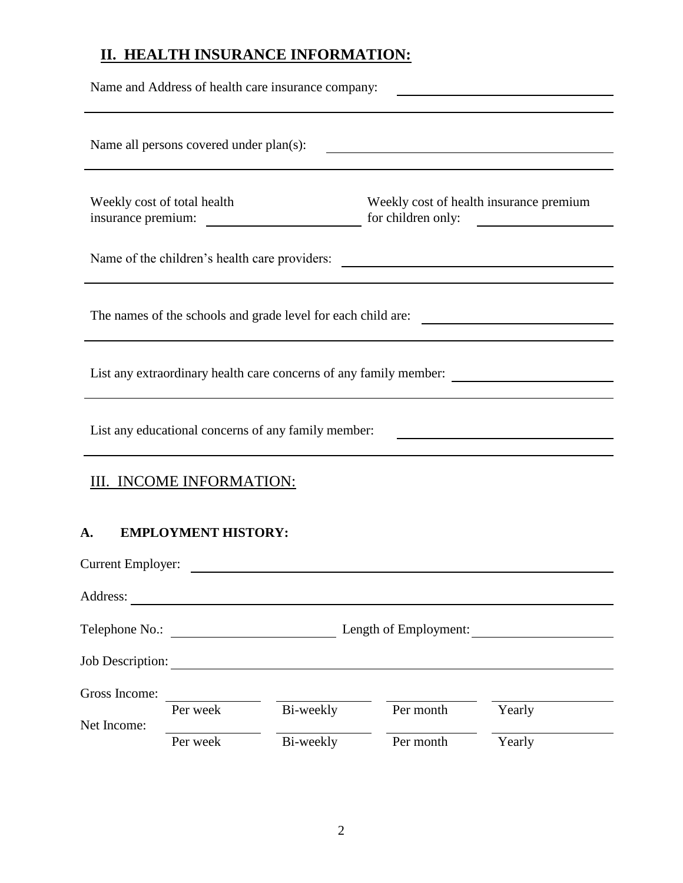# **II. HEALTH INSURANCE INFORMATION:**

|                                |                                         | Name and Address of health care insurance company:                                                                    |                                               |                                                                                   |
|--------------------------------|-----------------------------------------|-----------------------------------------------------------------------------------------------------------------------|-----------------------------------------------|-----------------------------------------------------------------------------------|
|                                | Name all persons covered under plan(s): |                                                                                                                       |                                               |                                                                                   |
| insurance premium:             | Weekly cost of total health             |                                                                                                                       | for children only:                            | Weekly cost of health insurance premium                                           |
|                                |                                         |                                                                                                                       | Name of the children's health care providers: |                                                                                   |
|                                |                                         | The names of the schools and grade level for each child are:                                                          |                                               | <u> 1980 - Johann Stoff, fransk politik (d. 1980)</u>                             |
|                                |                                         |                                                                                                                       |                                               | List any extraordinary health care concerns of any family member: _______________ |
|                                |                                         | List any educational concerns of any family member:                                                                   |                                               |                                                                                   |
|                                | III. INCOME INFORMATION:                |                                                                                                                       |                                               |                                                                                   |
| А.<br><b>Current Employer:</b> | <b>EMPLOYMENT HISTORY:</b>              |                                                                                                                       |                                               |                                                                                   |
| Address:                       |                                         |                                                                                                                       |                                               |                                                                                   |
|                                |                                         |                                                                                                                       |                                               | Length of Employment:                                                             |
| Job Description:               |                                         | <u> 1989 - Johann Stoff, deutscher Stoffen und der Stoffen und der Stoffen und der Stoffen und der Stoffen und de</u> |                                               |                                                                                   |
| Gross Income:                  |                                         |                                                                                                                       |                                               |                                                                                   |
| Net Income:                    | Per week                                | Bi-weekly                                                                                                             | Per month                                     | Yearly                                                                            |
|                                | Per week                                | Bi-weekly                                                                                                             | Per month                                     | Yearly                                                                            |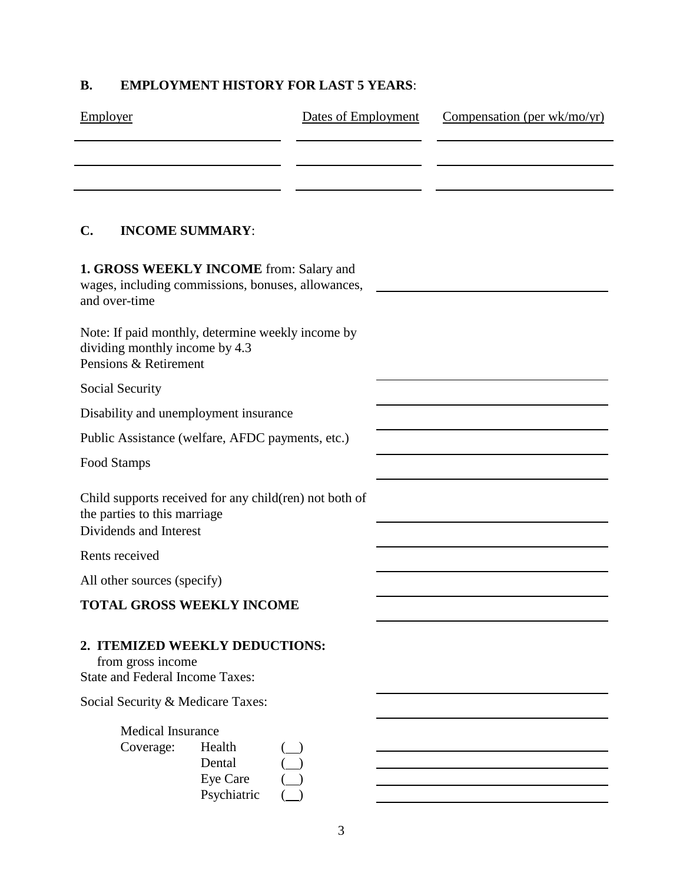## **B. EMPLOYMENT HISTORY FOR LAST 5 YEARS**:

| Employer                                                                                                         | Dates of Employment | Compensation (per wk/mo/yr) |
|------------------------------------------------------------------------------------------------------------------|---------------------|-----------------------------|
|                                                                                                                  |                     |                             |
|                                                                                                                  |                     |                             |
| <b>INCOME SUMMARY:</b><br>C.                                                                                     |                     |                             |
| 1. GROSS WEEKLY INCOME from: Salary and<br>wages, including commissions, bonuses, allowances,<br>and over-time   |                     |                             |
| Note: If paid monthly, determine weekly income by<br>dividing monthly income by 4.3<br>Pensions & Retirement     |                     |                             |
| Social Security                                                                                                  |                     |                             |
| Disability and unemployment insurance                                                                            |                     |                             |
| Public Assistance (welfare, AFDC payments, etc.)                                                                 |                     |                             |
| Food Stamps                                                                                                      |                     |                             |
| Child supports received for any child(ren) not both of<br>the parties to this marriage<br>Dividends and Interest |                     |                             |
| Rents received                                                                                                   |                     |                             |
| All other sources (specify)                                                                                      |                     |                             |
| <b>TOTAL GROSS WEEKLY INCOME</b>                                                                                 |                     |                             |
| 2. ITEMIZED WEEKLY DEDUCTIONS:<br>from gross income<br><b>State and Federal Income Taxes:</b>                    |                     |                             |
| Social Security & Medicare Taxes:                                                                                |                     |                             |
| <b>Medical Insurance</b><br>Coverage:<br>Health<br>Dental<br>Eye Care<br>Psychiatric                             |                     |                             |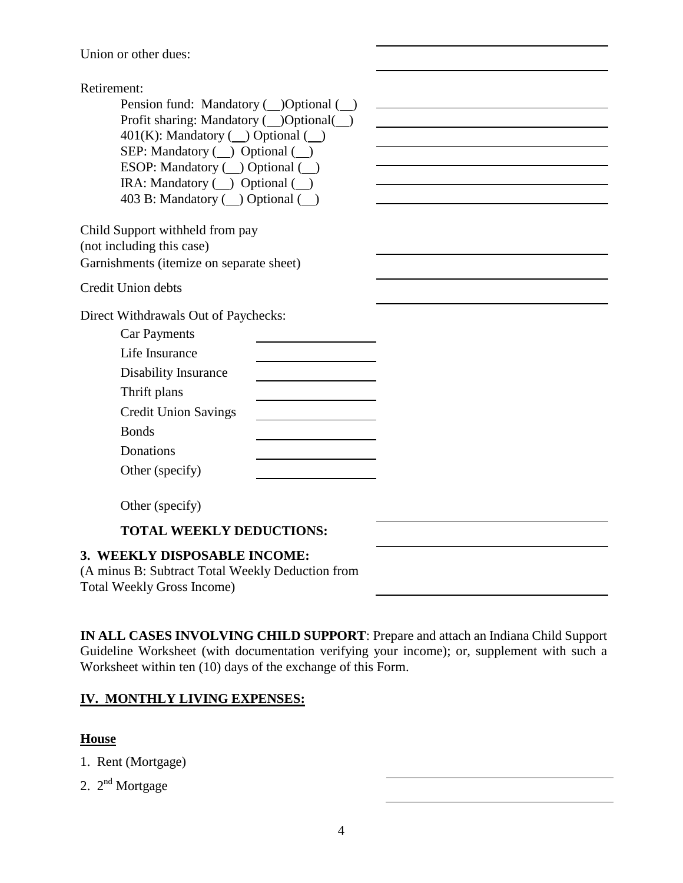Union or other dues:

| Retirement:                                                               |  |
|---------------------------------------------------------------------------|--|
| Pension fund: Mandatory (_)Optional (_)                                   |  |
| Profit sharing: Mandatory ( )Optional( )                                  |  |
| $401(K)$ : Mandatory ( $\Box$ ) Optional ( $\Box$ )                       |  |
| SEP: Mandatory $(\_)$ Optional $(\_)$<br>ESOP: Mandatory ( ) Optional ( ) |  |
| IRA: Mandatory $($ $)$ Optional $($ $)$                                   |  |
| 403 B: Mandatory ( ) Optional ( )                                         |  |
|                                                                           |  |
| Child Support withheld from pay                                           |  |
| (not including this case)                                                 |  |
| Garnishments (itemize on separate sheet)                                  |  |
| Credit Union debts                                                        |  |
| Direct Withdrawals Out of Paychecks:                                      |  |
| <b>Car Payments</b>                                                       |  |
| Life Insurance                                                            |  |
| <b>Disability Insurance</b>                                               |  |
| Thrift plans                                                              |  |
| <b>Credit Union Savings</b>                                               |  |
| <b>Bonds</b>                                                              |  |
| Donations                                                                 |  |
| Other (specify)                                                           |  |
|                                                                           |  |
| Other (specify)                                                           |  |
| <b>TOTAL WEEKLY DEDUCTIONS:</b>                                           |  |
| 3. WEEKLY DISPOSABLE INCOME:                                              |  |
| (A minus B: Subtract Total Weekly Deduction from                          |  |
| <b>Total Weekly Gross Income)</b>                                         |  |

**IN ALL CASES INVOLVING CHILD SUPPORT**: Prepare and attach an Indiana Child Support Guideline Worksheet (with documentation verifying your income); or, supplement with such a Worksheet within ten (10) days of the exchange of this Form.

### **IV. MONTHLY LIVING EXPENSES:**

#### **House**

- 1. Rent (Mortgage)
- 2. 2<sup>nd</sup> Mortgage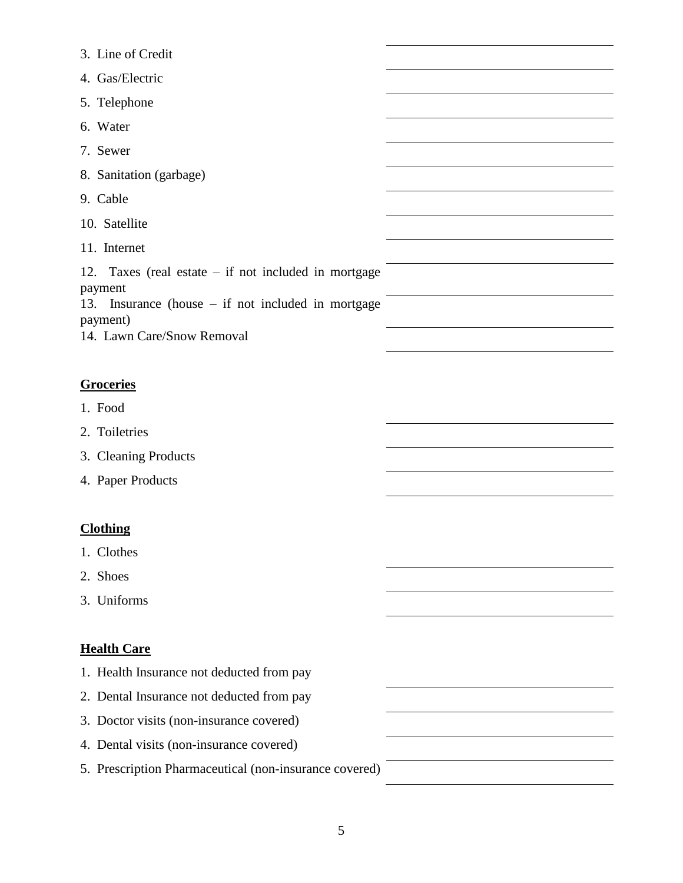| 3. Line of Credit                                                 |  |
|-------------------------------------------------------------------|--|
| 4. Gas/Electric                                                   |  |
| 5. Telephone                                                      |  |
| 6. Water                                                          |  |
| 7. Sewer                                                          |  |
| 8. Sanitation (garbage)                                           |  |
| 9. Cable                                                          |  |
| 10. Satellite                                                     |  |
| 11. Internet                                                      |  |
| 12. Taxes (real estate $-$ if not included in mortgage<br>payment |  |
| 13. Insurance (house – if not included in mortgage<br>payment)    |  |
| 14. Lawn Care/Snow Removal                                        |  |
|                                                                   |  |
| <b>Groceries</b>                                                  |  |
| 1. Food                                                           |  |
| 2. Toiletries                                                     |  |
| 3. Cleaning Products                                              |  |
| 4. Paper Products                                                 |  |
|                                                                   |  |
| <b>Clothing</b>                                                   |  |
| 1. Clothes                                                        |  |
| 2. Shoes                                                          |  |
| 3. Uniforms                                                       |  |
|                                                                   |  |
| <b>Health Care</b>                                                |  |
| 1. Health Insurance not deducted from pay                         |  |
| 2. Dental Insurance not deducted from pay                         |  |
| 3. Doctor visits (non-insurance covered)                          |  |
| 4. Dental visits (non-insurance covered)                          |  |
| 5. Prescription Pharmaceutical (non-insurance covered)            |  |
|                                                                   |  |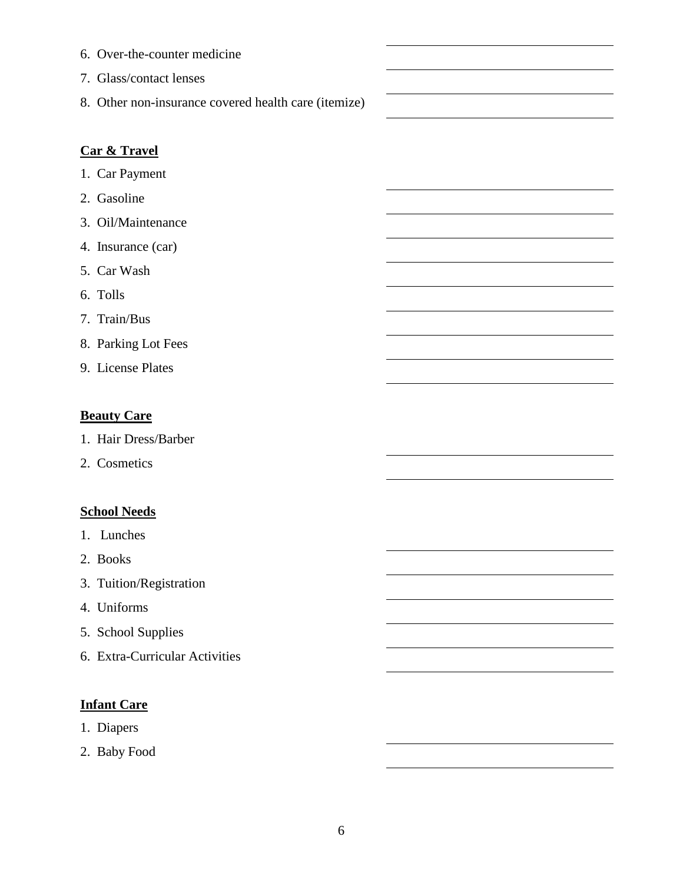6. Over-the-counter medicine 7. Glass/contact lenses 8. Other non-insurance covered health care (itemize)

### **Car & Travel**

- 1. Car Payment
- 2. Gasoline
- 3. Oil/Maintenance
- 4. Insurance (car)
- 5. Car Wash
- 6. Tolls
- 7. Train/Bus
- 8. Parking Lot Fees
- 9. License Plates

#### **Beauty Care**

- 1. Hair Dress/Barber
- 2. Cosmetics

#### **School Needs**

- 1. Lunches
- 2. Books
- 3. Tuition/Registration
- 4. Uniforms
- 5. School Supplies
- 6. Extra-Curricular Activities

#### **Infant Care**

- 1. Diapers
- 2. Baby Food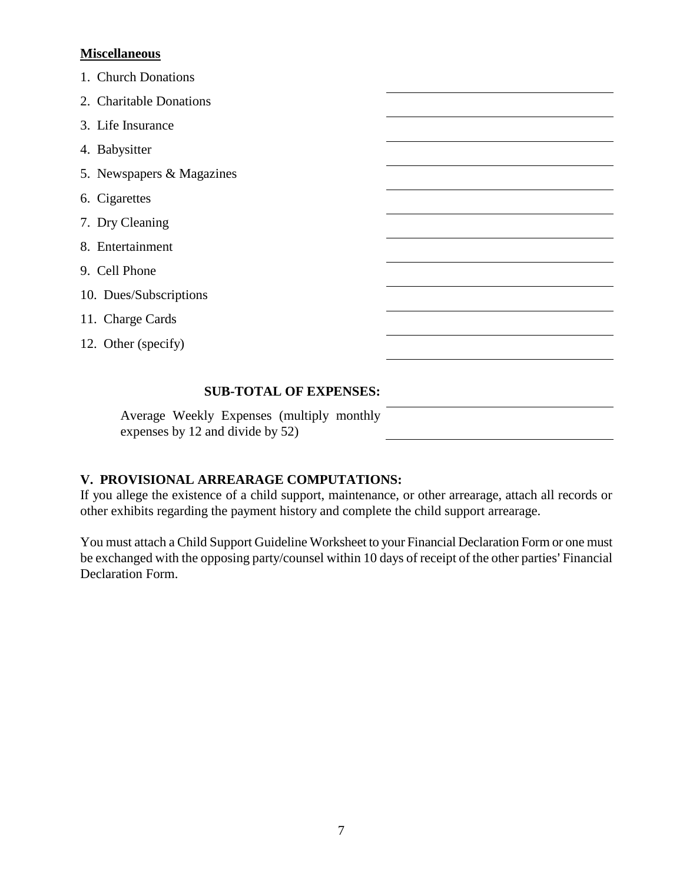#### **Miscellaneous**

| 1. Church Donations       |  |
|---------------------------|--|
| 2. Charitable Donations   |  |
| 3. Life Insurance         |  |
| 4. Babysitter             |  |
| 5. Newspapers & Magazines |  |
| 6. Cigarettes             |  |
| 7. Dry Cleaning           |  |
| 8. Entertainment          |  |
| 9. Cell Phone             |  |
| 10. Dues/Subscriptions    |  |
| 11. Charge Cards          |  |
| 12. Other (specify)       |  |
|                           |  |

#### **SUB-TOTAL OF EXPENSES:**

Average Weekly Expenses (multiply monthly expenses by 12 and divide by 52)

#### **V. PROVISIONAL ARREARAGE COMPUTATIONS:**

If you allege the existence of a child support, maintenance, or other arrearage, attach all records or other exhibits regarding the payment history and complete the child support arrearage.

You must attach a Child Support Guideline Worksheet to your Financial Declaration Form or one must be exchanged with the opposing party/counsel within 10 days of receipt of the other parties' Financial Declaration Form.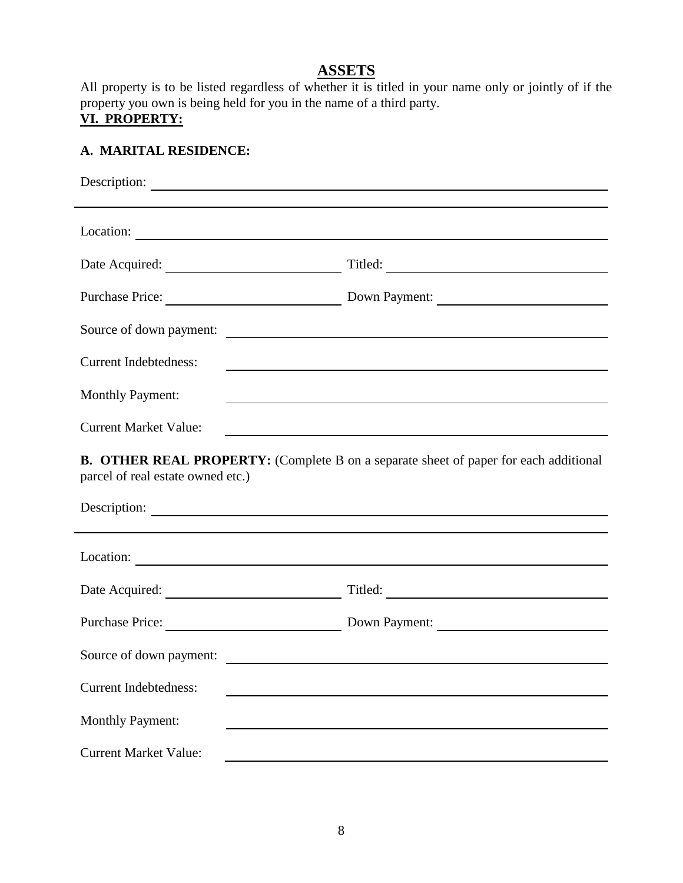### **ASSETS**

All property is to be listed regardless of whether it is titled in your name only or jointly of if the property you own is being held for you in the name of a third party.

# **VI. PROPERTY:**

### **A. MARITAL RESIDENCE:**

| Location:                    | <u> 1989 - Johann Stein, marwolaethau a bhann an t-Amhain an t-Amhain an t-Amhain an t-Amhain an t-Amhain an t-A</u> |
|------------------------------|----------------------------------------------------------------------------------------------------------------------|
|                              | Titled:                                                                                                              |
| Purchase Price:              | Down Payment:                                                                                                        |
|                              | Source of down payment:                                                                                              |
| <b>Current Indebtedness:</b> |                                                                                                                      |
| <b>Monthly Payment:</b>      |                                                                                                                      |
| <b>Current Market Value:</b> |                                                                                                                      |
| _________<br>-- - - - - -    |                                                                                                                      |

**B. OTHER REAL PROPERTY:** (Complete B on a separate sheet of paper for each additional parcel of real estate owned etc.)

| Description:                 |                                                                        |  |
|------------------------------|------------------------------------------------------------------------|--|
|                              |                                                                        |  |
| Location:                    |                                                                        |  |
| Date Acquired:               | Titled:<br><u> 1989 - Andrea Station Books, amerikansk politiker (</u> |  |
| <b>Purchase Price:</b>       | Down Payment:                                                          |  |
| Source of down payment:      |                                                                        |  |
| <b>Current Indebtedness:</b> |                                                                        |  |
| <b>Monthly Payment:</b>      |                                                                        |  |
| <b>Current Market Value:</b> |                                                                        |  |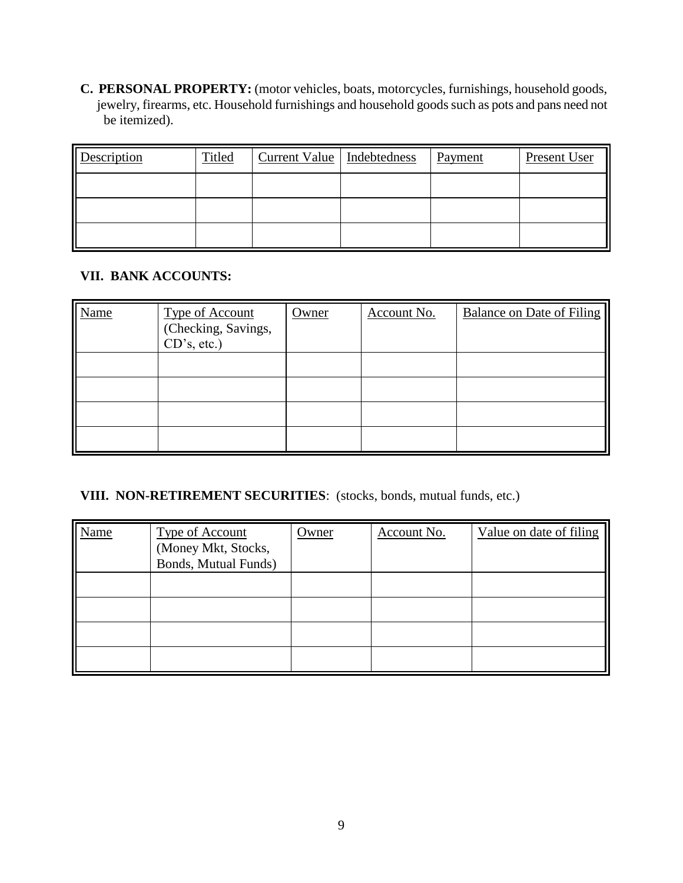**C. PERSONAL PROPERTY:** (motor vehicles, boats, motorcycles, furnishings, household goods, jewelry, firearms, etc. Household furnishings and household goods such as pots and pans need not be itemized).

| Description | Titled | Current Value   Indebtedness | Payment | Present User |
|-------------|--------|------------------------------|---------|--------------|
|             |        |                              |         |              |
|             |        |                              |         |              |
|             |        |                              |         |              |

#### **VII. BANK ACCOUNTS:**

| <b>Name</b> | <b>Type of Account</b><br>(Checking, Savings,<br>CD's, etc.) | Owner | Account No. | <b>Balance on Date of Filing</b> |
|-------------|--------------------------------------------------------------|-------|-------------|----------------------------------|
|             |                                                              |       |             |                                  |
|             |                                                              |       |             |                                  |
|             |                                                              |       |             |                                  |
|             |                                                              |       |             |                                  |

#### **VIII. NON-RETIREMENT SECURITIES**: (stocks, bonds, mutual funds, etc.)

| <b>Name</b> | <b>Type of Account</b><br>(Money Mkt, Stocks, | Owner | Account No. | Value on date of filing |
|-------------|-----------------------------------------------|-------|-------------|-------------------------|
|             | Bonds, Mutual Funds)                          |       |             |                         |
|             |                                               |       |             |                         |
|             |                                               |       |             |                         |
|             |                                               |       |             |                         |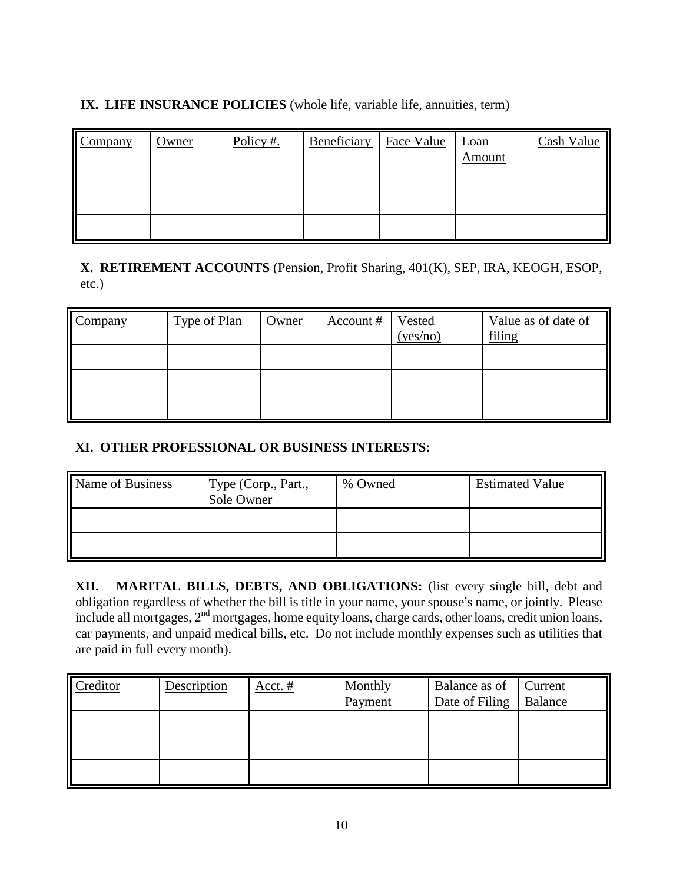### **IX. LIFE INSURANCE POLICIES** (whole life, variable life, annuities, term)

| $\blacksquare$ Company | Owner | Policy #. | Beneficiary | Face Value | Loan   | Cash Value |
|------------------------|-------|-----------|-------------|------------|--------|------------|
|                        |       |           |             |            | Amount |            |
|                        |       |           |             |            |        |            |
|                        |       |           |             |            |        |            |
|                        |       |           |             |            |        |            |
|                        |       |           |             |            |        |            |
|                        |       |           |             |            |        |            |
|                        |       |           |             |            |        |            |

**X. RETIREMENT ACCOUNTS** (Pension, Profit Sharing, 401(K), SEP, IRA, KEOGH, ESOP, etc.)

| Company | Type of Plan | Owner | Account # | Vested<br>(yes/no) | Value as of date of<br>filing |
|---------|--------------|-------|-----------|--------------------|-------------------------------|
|         |              |       |           |                    |                               |
|         |              |       |           |                    |                               |
|         |              |       |           |                    |                               |

### **XI. OTHER PROFESSIONAL OR BUSINESS INTERESTS:**

| Name of Business | Type (Corp., Part.,<br>Sole Owner | % Owned | <b>Estimated Value</b> |
|------------------|-----------------------------------|---------|------------------------|
|                  |                                   |         |                        |
|                  |                                   |         |                        |

**XII. MARITAL BILLS, DEBTS, AND OBLIGATIONS:** (list every single bill, debt and obligation regardless of whether the bill is title in your name, your spouse's name, or jointly. Please include all mortgages, 2<sup>nd</sup> mortgages, home equity loans, charge cards, other loans, credit union loans, car payments, and unpaid medical bills, etc. Do not include monthly expenses such as utilities that are paid in full every month).

| Creditor | Description | Acct. # | Monthly<br>Payment | Balance as of<br>Date of Filing | Current<br>Balance |
|----------|-------------|---------|--------------------|---------------------------------|--------------------|
|          |             |         |                    |                                 |                    |
|          |             |         |                    |                                 |                    |
|          |             |         |                    |                                 |                    |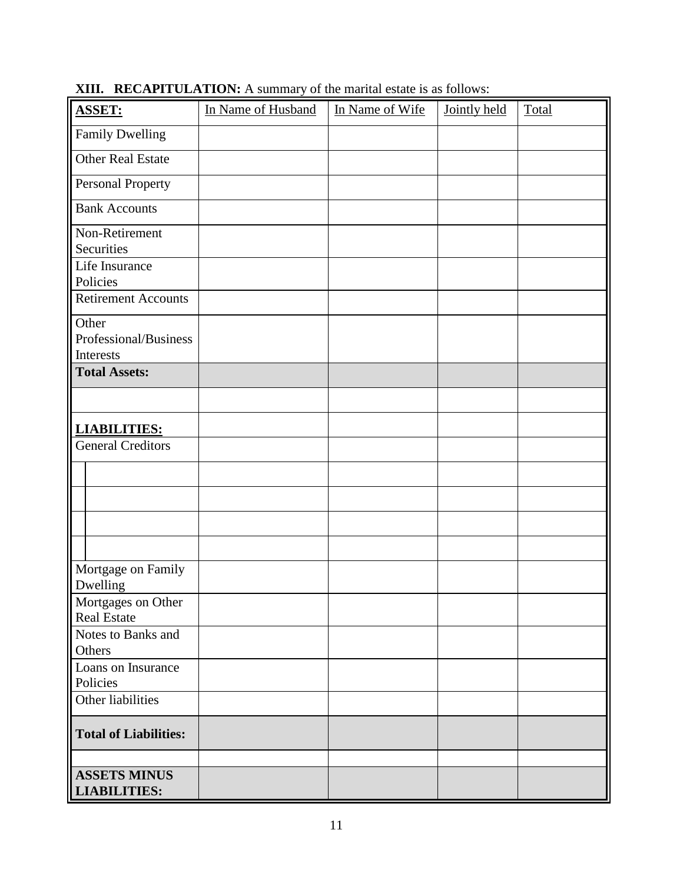| ASSET:                                     | In Name of Husband | In Name of Wife | Jointly held | Total |
|--------------------------------------------|--------------------|-----------------|--------------|-------|
| <b>Family Dwelling</b>                     |                    |                 |              |       |
| Other Real Estate                          |                    |                 |              |       |
| Personal Property                          |                    |                 |              |       |
| <b>Bank Accounts</b>                       |                    |                 |              |       |
| Non-Retirement<br>Securities               |                    |                 |              |       |
| Life Insurance                             |                    |                 |              |       |
| Policies                                   |                    |                 |              |       |
| <b>Retirement Accounts</b>                 |                    |                 |              |       |
| Other                                      |                    |                 |              |       |
| Professional/Business<br>Interests         |                    |                 |              |       |
| <b>Total Assets:</b>                       |                    |                 |              |       |
|                                            |                    |                 |              |       |
|                                            |                    |                 |              |       |
| <b>LIABILITIES:</b>                        |                    |                 |              |       |
| <b>General Creditors</b>                   |                    |                 |              |       |
|                                            |                    |                 |              |       |
|                                            |                    |                 |              |       |
|                                            |                    |                 |              |       |
|                                            |                    |                 |              |       |
| Mortgage on Family<br>Dwelling             |                    |                 |              |       |
| Mortgages on Other<br><b>Real Estate</b>   |                    |                 |              |       |
| Notes to Banks and<br>Others               |                    |                 |              |       |
| Loans on Insurance<br>Policies             |                    |                 |              |       |
| Other liabilities                          |                    |                 |              |       |
| <b>Total of Liabilities:</b>               |                    |                 |              |       |
|                                            |                    |                 |              |       |
| <b>ASSETS MINUS</b><br><b>LIABILITIES:</b> |                    |                 |              |       |

**XIII. RECAPITULATION:** A summary of the marital estate is as follows: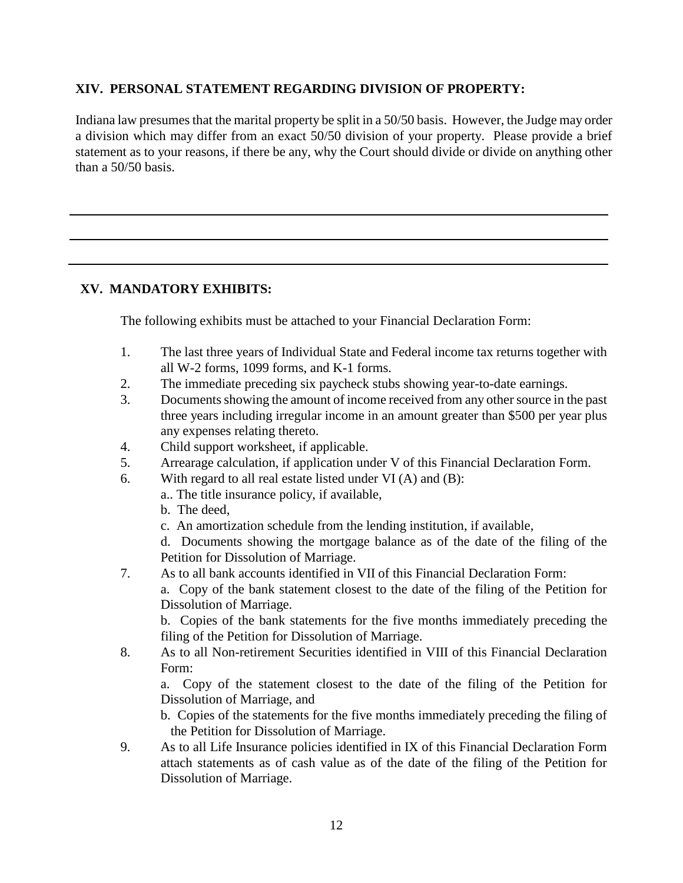#### **XIV. PERSONAL STATEMENT REGARDING DIVISION OF PROPERTY:**

Indiana law presumes that the marital property be split in a 50/50 basis. However, the Judge may order a division which may differ from an exact 50/50 division of your property. Please provide a brief statement as to your reasons, if there be any, why the Court should divide or divide on anything other than a 50/50 basis.

#### **XV. MANDATORY EXHIBITS:**

The following exhibits must be attached to your Financial Declaration Form:

- 1. The last three years of Individual State and Federal income tax returns together with all W-2 forms, 1099 forms, and K-1 forms.
- 2. The immediate preceding six paycheck stubs showing year-to-date earnings.
- 3. Documents showing the amount of income received from any other source in the past three years including irregular income in an amount greater than \$500 per year plus any expenses relating thereto.
- 4. Child support worksheet, if applicable.
- 5. Arrearage calculation, if application under V of this Financial Declaration Form.
- 6. With regard to all real estate listed under VI (A) and (B):
	- a.. The title insurance policy, if available,
	- b. The deed,
	- c. An amortization schedule from the lending institution, if available,

d. Documents showing the mortgage balance as of the date of the filing of the Petition for Dissolution of Marriage.

7. As to all bank accounts identified in VII of this Financial Declaration Form:

a. Copy of the bank statement closest to the date of the filing of the Petition for Dissolution of Marriage.

b. Copies of the bank statements for the five months immediately preceding the filing of the Petition for Dissolution of Marriage.

8. As to all Non-retirement Securities identified in VIII of this Financial Declaration Form:

a. Copy of the statement closest to the date of the filing of the Petition for Dissolution of Marriage, and

b. Copies of the statements for the five months immediately preceding the filing of the Petition for Dissolution of Marriage.

9. As to all Life Insurance policies identified in IX of this Financial Declaration Form attach statements as of cash value as of the date of the filing of the Petition for Dissolution of Marriage.